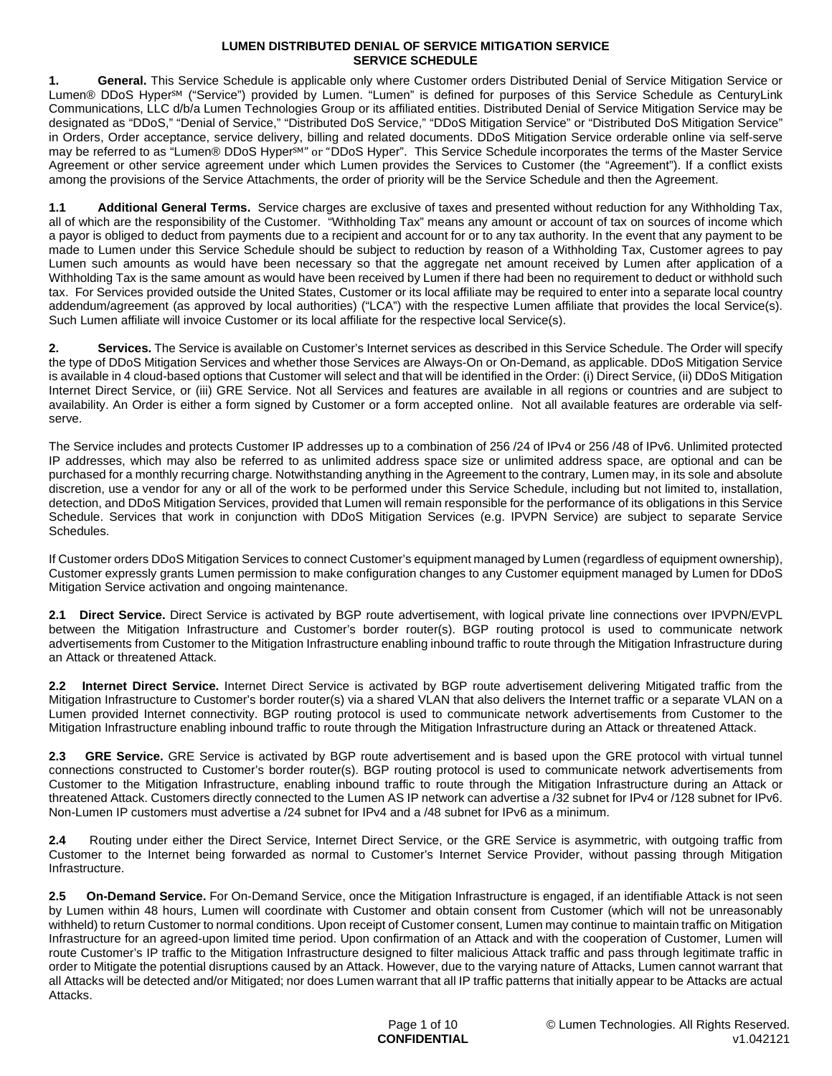**1. General.** This Service Schedule is applicable only where Customer orders Distributed Denial of Service Mitigation Service or Lumen® DDoS Hyper℠ ("Service") provided by Lumen. "Lumen" is defined for purposes of this Service Schedule as CenturyLink Communications, LLC d/b/a Lumen Technologies Group or its affiliated entities. Distributed Denial of Service Mitigation Service may be designated as "DDoS," "Denial of Service," "Distributed DoS Service," "DDoS Mitigation Service" or "Distributed DoS Mitigation Service" in Orders, Order acceptance, service delivery, billing and related documents. DDoS Mitigation Service orderable online via self-serve may be referred to as "Lumen® DDoS Hyper<sup>sM</sup>" or "DDoS Hyper". This Service Schedule incorporates the terms of the Master Service Agreement or other service agreement under which Lumen provides the Services to Customer (the "Agreement"). If a conflict exists among the provisions of the Service Attachments, the order of priority will be the Service Schedule and then the Agreement.

**1.1 Additional General Terms.** Service charges are exclusive of taxes and presented without reduction for any Withholding Tax, all of which are the responsibility of the Customer. "Withholding Tax" means any amount or account of tax on sources of income which a payor is obliged to deduct from payments due to a recipient and account for or to any tax authority. In the event that any payment to be made to Lumen under this Service Schedule should be subject to reduction by reason of a Withholding Tax, Customer agrees to pay Lumen such amounts as would have been necessary so that the aggregate net amount received by Lumen after application of a Withholding Tax is the same amount as would have been received by Lumen if there had been no requirement to deduct or withhold such tax. For Services provided outside the United States, Customer or its local affiliate may be required to enter into a separate local country addendum/agreement (as approved by local authorities) ("LCA") with the respective Lumen affiliate that provides the local Service(s). Such Lumen affiliate will invoice Customer or its local affiliate for the respective local Service(s).

**2. Services.** The Service is available on Customer's Internet services as described in this Service Schedule. The Order will specify the type of DDoS Mitigation Services and whether those Services are Always-On or On-Demand, as applicable. DDoS Mitigation Service is available in 4 cloud-based options that Customer will select and that will be identified in the Order: (i) Direct Service, (ii) DDoS Mitigation Internet Direct Service, or (iii) GRE Service. Not all Services and features are available in all regions or countries and are subject to availability. An Order is either a form signed by Customer or a form accepted online. Not all available features are orderable via selfserve.

The Service includes and protects Customer IP addresses up to a combination of 256 /24 of IPv4 or 256 /48 of IPv6. Unlimited protected IP addresses, which may also be referred to as unlimited address space size or unlimited address space, are optional and can be purchased for a monthly recurring charge. Notwithstanding anything in the Agreement to the contrary, Lumen may, in its sole and absolute discretion, use a vendor for any or all of the work to be performed under this Service Schedule, including but not limited to, installation, detection, and DDoS Mitigation Services, provided that Lumen will remain responsible for the performance of its obligations in this Service Schedule. Services that work in conjunction with DDoS Mitigation Services (e.g. IPVPN Service) are subject to separate Service Schedules.

If Customer orders DDoS Mitigation Services to connect Customer's equipment managed by Lumen (regardless of equipment ownership), Customer expressly grants Lumen permission to make configuration changes to any Customer equipment managed by Lumen for DDoS Mitigation Service activation and ongoing maintenance.

**2.1 Direct Service.** Direct Service is activated by BGP route advertisement, with logical private line connections over IPVPN/EVPL between the Mitigation Infrastructure and Customer's border router(s). BGP routing protocol is used to communicate network advertisements from Customer to the Mitigation Infrastructure enabling inbound traffic to route through the Mitigation Infrastructure during an Attack or threatened Attack.

**2.2 Internet Direct Service.** Internet Direct Service is activated by BGP route advertisement delivering Mitigated traffic from the Mitigation Infrastructure to Customer's border router(s) via a shared VLAN that also delivers the Internet traffic or a separate VLAN on a Lumen provided Internet connectivity. BGP routing protocol is used to communicate network advertisements from Customer to the Mitigation Infrastructure enabling inbound traffic to route through the Mitigation Infrastructure during an Attack or threatened Attack.

**2.3 GRE Service.** GRE Service is activated by BGP route advertisement and is based upon the GRE protocol with virtual tunnel connections constructed to Customer's border router(s). BGP routing protocol is used to communicate network advertisements from Customer to the Mitigation Infrastructure, enabling inbound traffic to route through the Mitigation Infrastructure during an Attack or threatened Attack. Customers directly connected to the Lumen AS IP network can advertise a /32 subnet for IPv4 or /128 subnet for IPv6. Non-Lumen IP customers must advertise a /24 subnet for IPv4 and a /48 subnet for IPv6 as a minimum.

**2.4** Routing under either the Direct Service, Internet Direct Service, or the GRE Service is asymmetric, with outgoing traffic from Customer to the Internet being forwarded as normal to Customer's Internet Service Provider, without passing through Mitigation Infrastructure.

**2.5 On-Demand Service.** For On-Demand Service, once the Mitigation Infrastructure is engaged, if an identifiable Attack is not seen by Lumen within 48 hours, Lumen will coordinate with Customer and obtain consent from Customer (which will not be unreasonably withheld) to return Customer to normal conditions. Upon receipt of Customer consent, Lumen may continue to maintain traffic on Mitigation Infrastructure for an agreed-upon limited time period. Upon confirmation of an Attack and with the cooperation of Customer, Lumen will route Customer's IP traffic to the Mitigation Infrastructure designed to filter malicious Attack traffic and pass through legitimate traffic in order to Mitigate the potential disruptions caused by an Attack. However, due to the varying nature of Attacks, Lumen cannot warrant that all Attacks will be detected and/or Mitigated; nor does Lumen warrant that all IP traffic patterns that initially appear to be Attacks are actual **Attacks**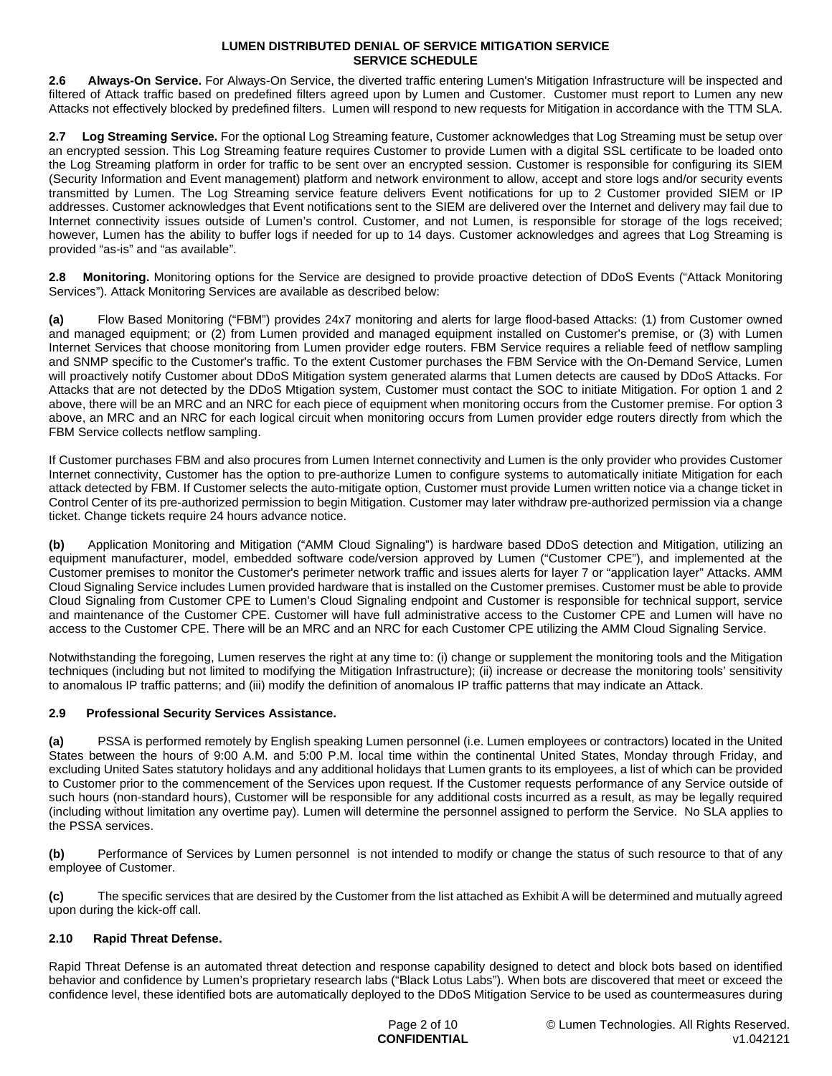**2.6 Always-On Service.** For Always-On Service, the diverted traffic entering Lumen's Mitigation Infrastructure will be inspected and filtered of Attack traffic based on predefined filters agreed upon by Lumen and Customer. Customer must report to Lumen any new Attacks not effectively blocked by predefined filters. Lumen will respond to new requests for Mitigation in accordance with the TTM SLA.

**2.7 Log Streaming Service.** For the optional Log Streaming feature, Customer acknowledges that Log Streaming must be setup over an encrypted session. This Log Streaming feature requires Customer to provide Lumen with a digital SSL certificate to be loaded onto the Log Streaming platform in order for traffic to be sent over an encrypted session. Customer is responsible for configuring its SIEM (Security Information and Event management) platform and network environment to allow, accept and store logs and/or security events transmitted by Lumen. The Log Streaming service feature delivers Event notifications for up to 2 Customer provided SIEM or IP addresses. Customer acknowledges that Event notifications sent to the SIEM are delivered over the Internet and delivery may fail due to Internet connectivity issues outside of Lumen's control. Customer, and not Lumen, is responsible for storage of the logs received; however, Lumen has the ability to buffer logs if needed for up to 14 days. Customer acknowledges and agrees that Log Streaming is provided "as-is" and "as available".

**2.8 Monitoring.** Monitoring options for the Service are designed to provide proactive detection of DDoS Events ("Attack Monitoring Services"). Attack Monitoring Services are available as described below:

**(a)** Flow Based Monitoring ("FBM") provides 24x7 monitoring and alerts for large flood-based Attacks: (1) from Customer owned and managed equipment; or (2) from Lumen provided and managed equipment installed on Customer's premise, or (3) with Lumen Internet Services that choose monitoring from Lumen provider edge routers. FBM Service requires a reliable feed of netflow sampling and SNMP specific to the Customer's traffic. To the extent Customer purchases the FBM Service with the On-Demand Service, Lumen will proactively notify Customer about DDoS Mitigation system generated alarms that Lumen detects are caused by DDoS Attacks. For Attacks that are not detected by the DDoS Mtigation system, Customer must contact the SOC to initiate Mitigation. For option 1 and 2 above, there will be an MRC and an NRC for each piece of equipment when monitoring occurs from the Customer premise. For option 3 above, an MRC and an NRC for each logical circuit when monitoring occurs from Lumen provider edge routers directly from which the FBM Service collects netflow sampling.

If Customer purchases FBM and also procures from Lumen Internet connectivity and Lumen is the only provider who provides Customer Internet connectivity, Customer has the option to pre-authorize Lumen to configure systems to automatically initiate Mitigation for each attack detected by FBM. If Customer selects the auto-mitigate option, Customer must provide Lumen written notice via a change ticket in Control Center of its pre-authorized permission to begin Mitigation. Customer may later withdraw pre-authorized permission via a change ticket. Change tickets require 24 hours advance notice.

**(b)** Application Monitoring and Mitigation ("AMM Cloud Signaling") is hardware based DDoS detection and Mitigation, utilizing an equipment manufacturer, model, embedded software code/version approved by Lumen ("Customer CPE"), and implemented at the Customer premises to monitor the Customer's perimeter network traffic and issues alerts for layer 7 or "application layer" Attacks. AMM Cloud Signaling Service includes Lumen provided hardware that is installed on the Customer premises. Customer must be able to provide Cloud Signaling from Customer CPE to Lumen's Cloud Signaling endpoint and Customer is responsible for technical support, service and maintenance of the Customer CPE. Customer will have full administrative access to the Customer CPE and Lumen will have no access to the Customer CPE. There will be an MRC and an NRC for each Customer CPE utilizing the AMM Cloud Signaling Service.

Notwithstanding the foregoing, Lumen reserves the right at any time to: (i) change or supplement the monitoring tools and the Mitigation techniques (including but not limited to modifying the Mitigation Infrastructure); (ii) increase or decrease the monitoring tools' sensitivity to anomalous IP traffic patterns; and (iii) modify the definition of anomalous IP traffic patterns that may indicate an Attack.

# **2.9 Professional Security Services Assistance.**

**(a)** PSSA is performed remotely by English speaking Lumen personnel (i.e. Lumen employees or contractors) located in the United States between the hours of 9:00 A.M. and 5:00 P.M. local time within the continental United States, Monday through Friday, and excluding United Sates statutory holidays and any additional holidays that Lumen grants to its employees, a list of which can be provided to Customer prior to the commencement of the Services upon request. If the Customer requests performance of any Service outside of such hours (non-standard hours), Customer will be responsible for any additional costs incurred as a result, as may be legally required (including without limitation any overtime pay). Lumen will determine the personnel assigned to perform the Service. No SLA applies to the PSSA services.

**(b)** Performance of Services by Lumen personnel is not intended to modify or change the status of such resource to that of any employee of Customer.

**(c)** The specific services that are desired by the Customer from the list attached as Exhibit A will be determined and mutually agreed upon during the kick-off call.

# **2.10 Rapid Threat Defense.**

Rapid Threat Defense is an automated threat detection and response capability designed to detect and block bots based on identified behavior and confidence by Lumen's proprietary research labs ("Black Lotus Labs"). When bots are discovered that meet or exceed the confidence level, these identified bots are automatically deployed to the DDoS Mitigation Service to be used as countermeasures during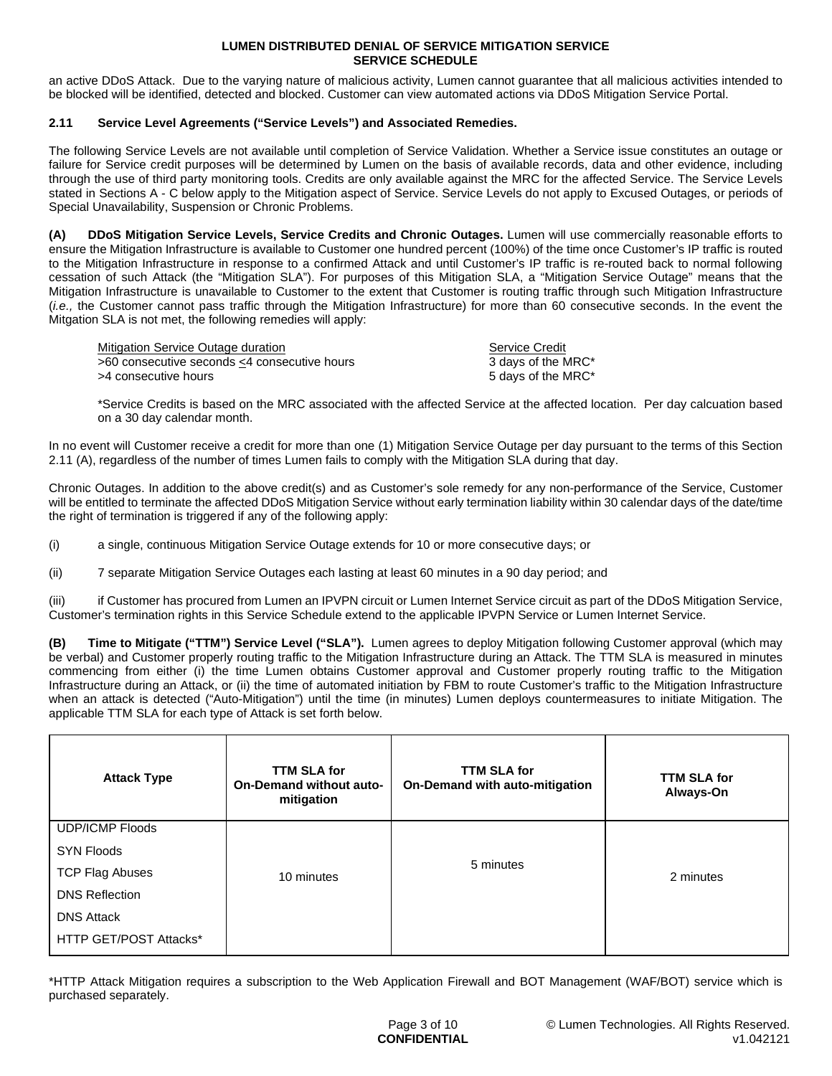an active DDoS Attack. Due to the varying nature of malicious activity, Lumen cannot guarantee that all malicious activities intended to be blocked will be identified, detected and blocked. Customer can view automated actions via DDoS Mitigation Service Portal.

## **2.11 Service Level Agreements ("Service Levels") and Associated Remedies.**

The following Service Levels are not available until completion of Service Validation. Whether a Service issue constitutes an outage or failure for Service credit purposes will be determined by Lumen on the basis of available records, data and other evidence, including through the use of third party monitoring tools. Credits are only available against the MRC for the affected Service. The Service Levels stated in Sections A - C below apply to the Mitigation aspect of Service. Service Levels do not apply to Excused Outages, or periods of Special Unavailability, Suspension or Chronic Problems.

**(A) DDoS Mitigation Service Levels, Service Credits and Chronic Outages.** Lumen will use commercially reasonable efforts to ensure the Mitigation Infrastructure is available to Customer one hundred percent (100%) of the time once Customer's IP traffic is routed to the Mitigation Infrastructure in response to a confirmed Attack and until Customer's IP traffic is re-routed back to normal following cessation of such Attack (the "Mitigation SLA"). For purposes of this Mitigation SLA, a "Mitigation Service Outage" means that the Mitigation Infrastructure is unavailable to Customer to the extent that Customer is routing traffic through such Mitigation Infrastructure (*i.e.,* the Customer cannot pass traffic through the Mitigation Infrastructure) for more than 60 consecutive seconds. In the event the Mitgation SLA is not met, the following remedies will apply:

| Mitigation Service Outage duration           | Service Credit     |
|----------------------------------------------|--------------------|
| >60 consecutive seconds <4 consecutive hours | 3 days of the MRC* |
| >4 consecutive hours_                        | 5 days of the MRC* |

\*Service Credits is based on the MRC associated with the affected Service at the affected location. Per day calcuation based on a 30 day calendar month.

In no event will Customer receive a credit for more than one (1) Mitigation Service Outage per day pursuant to the terms of this Section 2.11 (A), regardless of the number of times Lumen fails to comply with the Mitigation SLA during that day.

Chronic Outages. In addition to the above credit(s) and as Customer's sole remedy for any non-performance of the Service, Customer will be entitled to terminate the affected DDoS Mitigation Service without early termination liability within 30 calendar days of the date/time the right of termination is triggered if any of the following apply:

(i) a single, continuous Mitigation Service Outage extends for 10 or more consecutive days; or

(ii) 7 separate Mitigation Service Outages each lasting at least 60 minutes in a 90 day period; and

(iii) if Customer has procured from Lumen an IPVPN circuit or Lumen Internet Service circuit as part of the DDoS Mitigation Service, Customer's termination rights in this Service Schedule extend to the applicable IPVPN Service or Lumen Internet Service.

**(B) Time to Mitigate ("TTM") Service Level ("SLA").** Lumen agrees to deploy Mitigation following Customer approval (which may be verbal) and Customer properly routing traffic to the Mitigation Infrastructure during an Attack. The TTM SLA is measured in minutes commencing from either (i) the time Lumen obtains Customer approval and Customer properly routing traffic to the Mitigation Infrastructure during an Attack, or (ii) the time of automated initiation by FBM to route Customer's traffic to the Mitigation Infrastructure when an attack is detected ("Auto-Mitigation") until the time (in minutes) Lumen deploys countermeasures to initiate Mitigation. The applicable TTM SLA for each type of Attack is set forth below.

| <b>Attack Type</b>     | <b>TTM SLA for</b><br><b>On-Demand without auto-</b><br>mitigation | <b>TTM SLA for</b><br>On-Demand with auto-mitigation | <b>TTM SLA for</b><br>Always-On |
|------------------------|--------------------------------------------------------------------|------------------------------------------------------|---------------------------------|
| <b>UDP/ICMP Floods</b> |                                                                    |                                                      |                                 |
| <b>SYN Floods</b>      |                                                                    |                                                      |                                 |
| <b>TCP Flag Abuses</b> | 10 minutes                                                         | 5 minutes                                            | 2 minutes                       |
| <b>DNS Reflection</b>  |                                                                    |                                                      |                                 |
| <b>DNS Attack</b>      |                                                                    |                                                      |                                 |
| HTTP GET/POST Attacks* |                                                                    |                                                      |                                 |

\*HTTP Attack Mitigation requires a subscription to the Web Application Firewall and BOT Management (WAF/BOT) service which is purchased separately.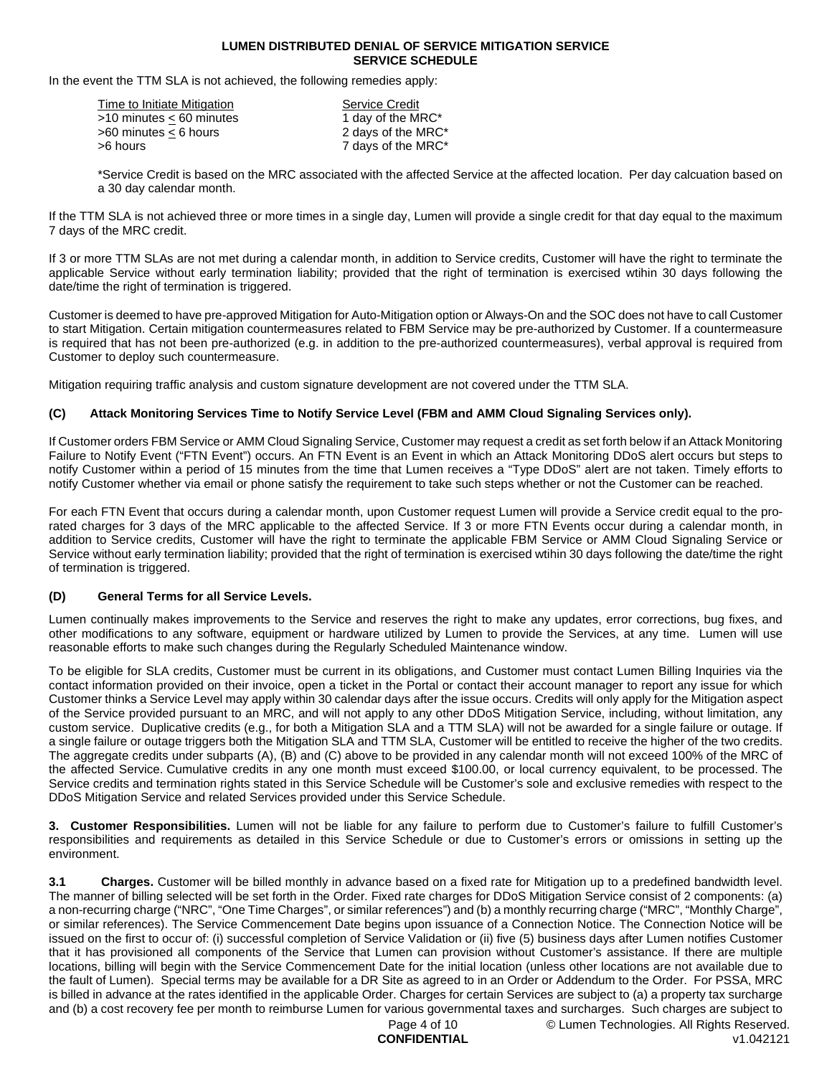In the event the TTM SLA is not achieved, the following remedies apply:

| Time to Initiate Mitigation | <b>Service Credit</b> |
|-----------------------------|-----------------------|
| >10 minutes < 60 minutes    | 1 day of the MRC*     |
| >60 minutes < 6 hours       | 2 days of the MRC*    |
| >6 hours                    | 7 days of the MRC*    |
|                             |                       |

\*Service Credit is based on the MRC associated with the affected Service at the affected location. Per day calcuation based on a 30 day calendar month.

If the TTM SLA is not achieved three or more times in a single day, Lumen will provide a single credit for that day equal to the maximum 7 days of the MRC credit.

If 3 or more TTM SLAs are not met during a calendar month, in addition to Service credits, Customer will have the right to terminate the applicable Service without early termination liability; provided that the right of termination is exercised wtihin 30 days following the date/time the right of termination is triggered.

Customer is deemed to have pre-approved Mitigation for Auto-Mitigation option or Always-On and the SOC does not have to call Customer to start Mitigation. Certain mitigation countermeasures related to FBM Service may be pre-authorized by Customer. If a countermeasure is required that has not been pre-authorized (e.g. in addition to the pre-authorized countermeasures), verbal approval is required from Customer to deploy such countermeasure.

Mitigation requiring traffic analysis and custom signature development are not covered under the TTM SLA.

## **(C) Attack Monitoring Services Time to Notify Service Level (FBM and AMM Cloud Signaling Services only).**

If Customer orders FBM Service or AMM Cloud Signaling Service, Customer may request a credit as set forth below if an Attack Monitoring Failure to Notify Event ("FTN Event") occurs. An FTN Event is an Event in which an Attack Monitoring DDoS alert occurs but steps to notify Customer within a period of 15 minutes from the time that Lumen receives a "Type DDoS" alert are not taken. Timely efforts to notify Customer whether via email or phone satisfy the requirement to take such steps whether or not the Customer can be reached.

For each FTN Event that occurs during a calendar month, upon Customer request Lumen will provide a Service credit equal to the prorated charges for 3 days of the MRC applicable to the affected Service. If 3 or more FTN Events occur during a calendar month, in addition to Service credits, Customer will have the right to terminate the applicable FBM Service or AMM Cloud Signaling Service or Service without early termination liability; provided that the right of termination is exercised wtihin 30 days following the date/time the right of termination is triggered.

#### **(D) General Terms for all Service Levels.**

Lumen continually makes improvements to the Service and reserves the right to make any updates, error corrections, bug fixes, and other modifications to any software, equipment or hardware utilized by Lumen to provide the Services, at any time. Lumen will use reasonable efforts to make such changes during the Regularly Scheduled Maintenance window.

To be eligible for SLA credits, Customer must be current in its obligations, and Customer must contact Lumen Billing Inquiries via the contact information provided on their invoice, open a ticket in the Portal or contact their account manager to report any issue for which Customer thinks a Service Level may apply within 30 calendar days after the issue occurs. Credits will only apply for the Mitigation aspect of the Service provided pursuant to an MRC, and will not apply to any other DDoS Mitigation Service, including, without limitation, any custom service. Duplicative credits (e.g., for both a Mitigation SLA and a TTM SLA) will not be awarded for a single failure or outage. If a single failure or outage triggers both the Mitigation SLA and TTM SLA, Customer will be entitled to receive the higher of the two credits. The aggregate credits under subparts (A), (B) and (C) above to be provided in any calendar month will not exceed 100% of the MRC of the affected Service. Cumulative credits in any one month must exceed \$100.00, or local currency equivalent, to be processed. The Service credits and termination rights stated in this Service Schedule will be Customer's sole and exclusive remedies with respect to the DDoS Mitigation Service and related Services provided under this Service Schedule.

**3. Customer Responsibilities.** Lumen will not be liable for any failure to perform due to Customer's failure to fulfill Customer's responsibilities and requirements as detailed in this Service Schedule or due to Customer's errors or omissions in setting up the environment.

**3.1 Charges.** Customer will be billed monthly in advance based on a fixed rate for Mitigation up to a predefined bandwidth level. The manner of billing selected will be set forth in the Order. Fixed rate charges for DDoS Mitigation Service consist of 2 components: (a) a non-recurring charge ("NRC", "One Time Charges", or similar references") and (b) a monthly recurring charge ("MRC", "Monthly Charge", or similar references). The Service Commencement Date begins upon issuance of a Connection Notice. The Connection Notice will be issued on the first to occur of: (i) successful completion of Service Validation or (ii) five (5) business days after Lumen notifies Customer that it has provisioned all components of the Service that Lumen can provision without Customer's assistance. If there are multiple locations, billing will begin with the Service Commencement Date for the initial location (unless other locations are not available due to the fault of Lumen). Special terms may be available for a DR Site as agreed to in an Order or Addendum to the Order. For PSSA, MRC is billed in advance at the rates identified in the applicable Order. Charges for certain Services are subject to (a) a property tax surcharge and (b) a cost recovery fee per month to reimburse Lumen for various governmental taxes and surcharges. Such charges are subject to

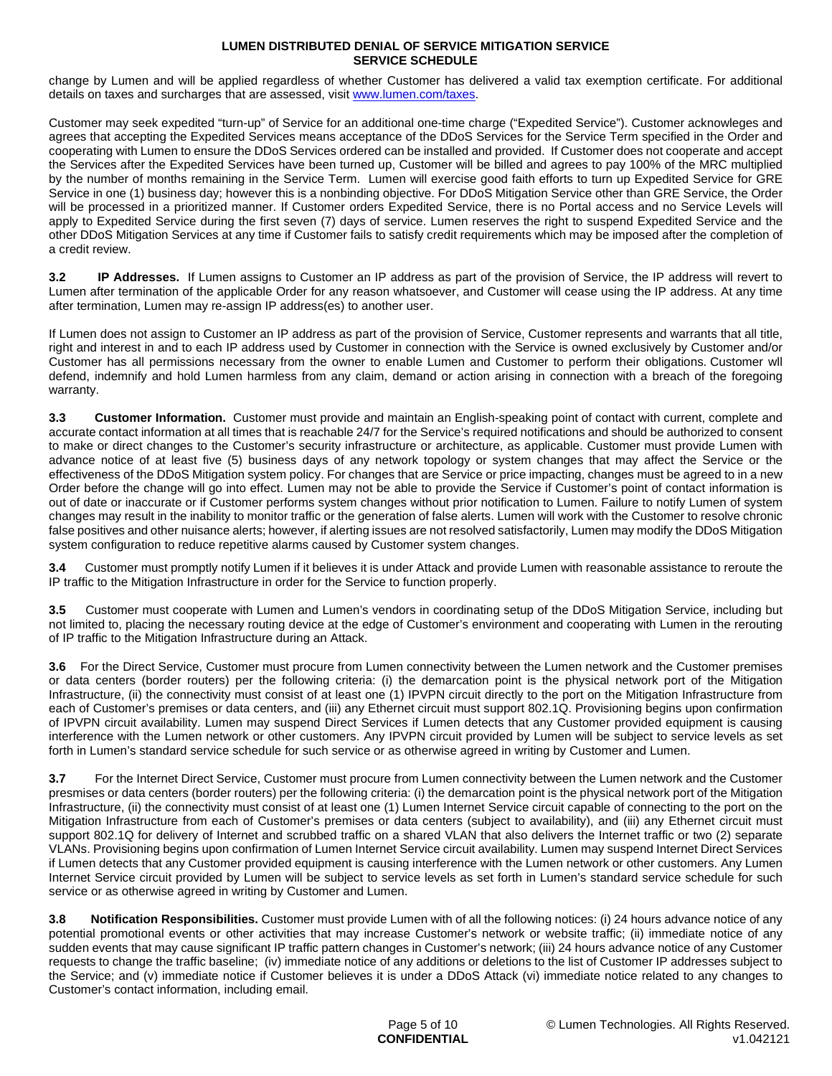change by Lumen and will be applied regardless of whether Customer has delivered a valid tax exemption certificate. For additional details on taxes and surcharges that are assessed, visit [www.lumen.com/taxes.](http://www.lumen.com/taxes)

Customer may seek expedited "turn-up" of Service for an additional one-time charge ("Expedited Service"). Customer acknowleges and agrees that accepting the Expedited Services means acceptance of the DDoS Services for the Service Term specified in the Order and cooperating with Lumen to ensure the DDoS Services ordered can be installed and provided. If Customer does not cooperate and accept the Services after the Expedited Services have been turned up, Customer will be billed and agrees to pay 100% of the MRC multiplied by the number of months remaining in the Service Term. Lumen will exercise good faith efforts to turn up Expedited Service for GRE Service in one (1) business day; however this is a nonbinding objective. For DDoS Mitigation Service other than GRE Service, the Order will be processed in a prioritized manner. If Customer orders Expedited Service, there is no Portal access and no Service Levels will apply to Expedited Service during the first seven (7) days of service. Lumen reserves the right to suspend Expedited Service and the other DDoS Mitigation Services at any time if Customer fails to satisfy credit requirements which may be imposed after the completion of a credit review.

**3.2 IP Addresses.** If Lumen assigns to Customer an IP address as part of the provision of Service, the IP address will revert to Lumen after termination of the applicable Order for any reason whatsoever, and Customer will cease using the IP address. At any time after termination, Lumen may re-assign IP address(es) to another user.

If Lumen does not assign to Customer an IP address as part of the provision of Service, Customer represents and warrants that all title, right and interest in and to each IP address used by Customer in connection with the Service is owned exclusively by Customer and/or Customer has all permissions necessary from the owner to enable Lumen and Customer to perform their obligations. Customer wll defend, indemnify and hold Lumen harmless from any claim, demand or action arising in connection with a breach of the foregoing warranty.

**3.3 Customer Information.** Customer must provide and maintain an English-speaking point of contact with current, complete and accurate contact information at all times that is reachable 24/7 for the Service's required notifications and should be authorized to consent to make or direct changes to the Customer's security infrastructure or architecture, as applicable. Customer must provide Lumen with advance notice of at least five (5) business days of any network topology or system changes that may affect the Service or the effectiveness of the DDoS Mitigation system policy. For changes that are Service or price impacting, changes must be agreed to in a new Order before the change will go into effect. Lumen may not be able to provide the Service if Customer's point of contact information is out of date or inaccurate or if Customer performs system changes without prior notification to Lumen. Failure to notify Lumen of system changes may result in the inability to monitor traffic or the generation of false alerts. Lumen will work with the Customer to resolve chronic false positives and other nuisance alerts; however, if alerting issues are not resolved satisfactorily, Lumen may modify the DDoS Mitigation system configuration to reduce repetitive alarms caused by Customer system changes.

**3.4** Customer must promptly notify Lumen if it believes it is under Attack and provide Lumen with reasonable assistance to reroute the IP traffic to the Mitigation Infrastructure in order for the Service to function properly.

**3.5** Customer must cooperate with Lumen and Lumen's vendors in coordinating setup of the DDoS Mitigation Service, including but not limited to, placing the necessary routing device at the edge of Customer's environment and cooperating with Lumen in the rerouting of IP traffic to the Mitigation Infrastructure during an Attack.

**3.6** For the Direct Service, Customer must procure from Lumen connectivity between the Lumen network and the Customer premises or data centers (border routers) per the following criteria: (i) the demarcation point is the physical network port of the Mitigation Infrastructure, (ii) the connectivity must consist of at least one (1) IPVPN circuit directly to the port on the Mitigation Infrastructure from each of Customer's premises or data centers, and (iii) any Ethernet circuit must support 802.1Q. Provisioning begins upon confirmation of IPVPN circuit availability. Lumen may suspend Direct Services if Lumen detects that any Customer provided equipment is causing interference with the Lumen network or other customers. Any IPVPN circuit provided by Lumen will be subject to service levels as set forth in Lumen's standard service schedule for such service or as otherwise agreed in writing by Customer and Lumen.

**3.7** For the Internet Direct Service, Customer must procure from Lumen connectivity between the Lumen network and the Customer presmises or data centers (border routers) per the following criteria: (i) the demarcation point is the physical network port of the Mitigation Infrastructure, (ii) the connectivity must consist of at least one (1) Lumen Internet Service circuit capable of connecting to the port on the Mitigation Infrastructure from each of Customer's premises or data centers (subject to availability), and (iii) any Ethernet circuit must support 802.1Q for delivery of Internet and scrubbed traffic on a shared VLAN that also delivers the Internet traffic or two (2) separate VLANs. Provisioning begins upon confirmation of Lumen Internet Service circuit availability. Lumen may suspend Internet Direct Services if Lumen detects that any Customer provided equipment is causing interference with the Lumen network or other customers. Any Lumen Internet Service circuit provided by Lumen will be subject to service levels as set forth in Lumen's standard service schedule for such service or as otherwise agreed in writing by Customer and Lumen.

**3.8 Notification Responsibilities.** Customer must provide Lumen with of all the following notices: (i) 24 hours advance notice of any potential promotional events or other activities that may increase Customer's network or website traffic; (ii) immediate notice of any sudden events that may cause significant IP traffic pattern changes in Customer's network; (iii) 24 hours advance notice of any Customer requests to change the traffic baseline; (iv) immediate notice of any additions or deletions to the list of Customer IP addresses subject to the Service; and (v) immediate notice if Customer believes it is under a DDoS Attack (vi) immediate notice related to any changes to Customer's contact information, including email.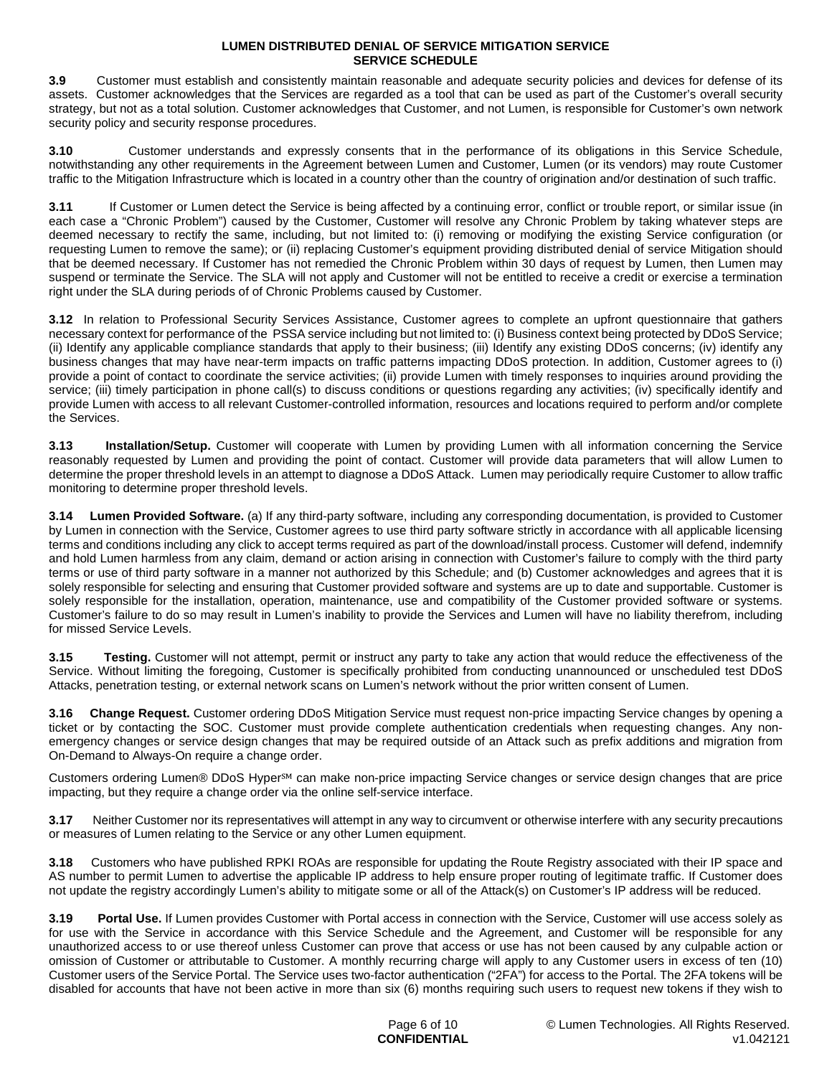**3.9** Customer must establish and consistently maintain reasonable and adequate security policies and devices for defense of its assets. Customer acknowledges that the Services are regarded as a tool that can be used as part of the Customer's overall security strategy, but not as a total solution. Customer acknowledges that Customer, and not Lumen, is responsible for Customer's own network security policy and security response procedures.

**3.10** Customer understands and expressly consents that in the performance of its obligations in this Service Schedule, notwithstanding any other requirements in the Agreement between Lumen and Customer, Lumen (or its vendors) may route Customer traffic to the Mitigation Infrastructure which is located in a country other than the country of origination and/or destination of such traffic.

**3.11** If Customer or Lumen detect the Service is being affected by a continuing error, conflict or trouble report, or similar issue (in each case a "Chronic Problem") caused by the Customer, Customer will resolve any Chronic Problem by taking whatever steps are deemed necessary to rectify the same, including, but not limited to: (i) removing or modifying the existing Service configuration (or requesting Lumen to remove the same); or (ii) replacing Customer's equipment providing distributed denial of service Mitigation should that be deemed necessary. If Customer has not remedied the Chronic Problem within 30 days of request by Lumen, then Lumen may suspend or terminate the Service. The SLA will not apply and Customer will not be entitled to receive a credit or exercise a termination right under the SLA during periods of of Chronic Problems caused by Customer.

**3.12** In relation to Professional Security Services Assistance, Customer agrees to complete an upfront questionnaire that gathers necessary context for performance of the PSSA service including but not limited to: (i) Business context being protected by DDoS Service; (ii) Identify any applicable compliance standards that apply to their business; (iii) Identify any existing DDoS concerns; (iv) identify any business changes that may have near-term impacts on traffic patterns impacting DDoS protection. In addition, Customer agrees to (i) provide a point of contact to coordinate the service activities; (ii) provide Lumen with timely responses to inquiries around providing the service; (iii) timely participation in phone call(s) to discuss conditions or questions regarding any activities; (iv) specifically identify and provide Lumen with access to all relevant Customer-controlled information, resources and locations required to perform and/or complete the Services.

**3.13 Installation/Setup.** Customer will cooperate with Lumen by providing Lumen with all information concerning the Service reasonably requested by Lumen and providing the point of contact. Customer will provide data parameters that will allow Lumen to determine the proper threshold levels in an attempt to diagnose a DDoS Attack. Lumen may periodically require Customer to allow traffic monitoring to determine proper threshold levels.

**3.14 Lumen Provided Software.** (a) If any third-party software, including any corresponding documentation, is provided to Customer by Lumen in connection with the Service, Customer agrees to use third party software strictly in accordance with all applicable licensing terms and conditions including any click to accept terms required as part of the download/install process. Customer will defend, indemnify and hold Lumen harmless from any claim, demand or action arising in connection with Customer's failure to comply with the third party terms or use of third party software in a manner not authorized by this Schedule; and (b) Customer acknowledges and agrees that it is solely responsible for selecting and ensuring that Customer provided software and systems are up to date and supportable. Customer is solely responsible for the installation, operation, maintenance, use and compatibility of the Customer provided software or systems. Customer's failure to do so may result in Lumen's inability to provide the Services and Lumen will have no liability therefrom, including for missed Service Levels.

**3.15 Testing.** Customer will not attempt, permit or instruct any party to take any action that would reduce the effectiveness of the Service. Without limiting the foregoing, Customer is specifically prohibited from conducting unannounced or unscheduled test DDoS Attacks, penetration testing, or external network scans on Lumen's network without the prior written consent of Lumen.

**3.16 Change Request.** Customer ordering DDoS Mitigation Service must request non-price impacting Service changes by opening a ticket or by contacting the SOC. Customer must provide complete authentication credentials when requesting changes. Any nonemergency changes or service design changes that may be required outside of an Attack such as prefix additions and migration from On-Demand to Always-On require a change order.

Customers ordering Lumen® DDoS Hyper<sup>sM</sup> can make non-price impacting Service changes or service design changes that are price impacting, but they require a change order via the online self-service interface.

**3.17** Neither Customer nor its representatives will attempt in any way to circumvent or otherwise interfere with any security precautions or measures of Lumen relating to the Service or any other Lumen equipment.

**3.18** Customers who have published RPKI ROAs are responsible for updating the Route Registry associated with their IP space and AS number to permit Lumen to advertise the applicable IP address to help ensure proper routing of legitimate traffic. If Customer does not update the registry accordingly Lumen's ability to mitigate some or all of the Attack(s) on Customer's IP address will be reduced.

**3.19 Portal Use.** If Lumen provides Customer with Portal access in connection with the Service, Customer will use access solely as for use with the Service in accordance with this Service Schedule and the Agreement, and Customer will be responsible for any unauthorized access to or use thereof unless Customer can prove that access or use has not been caused by any culpable action or omission of Customer or attributable to Customer. A monthly recurring charge will apply to any Customer users in excess of ten (10) Customer users of the Service Portal. The Service uses two-factor authentication ("2FA") for access to the Portal. The 2FA tokens will be disabled for accounts that have not been active in more than six (6) months requiring such users to request new tokens if they wish to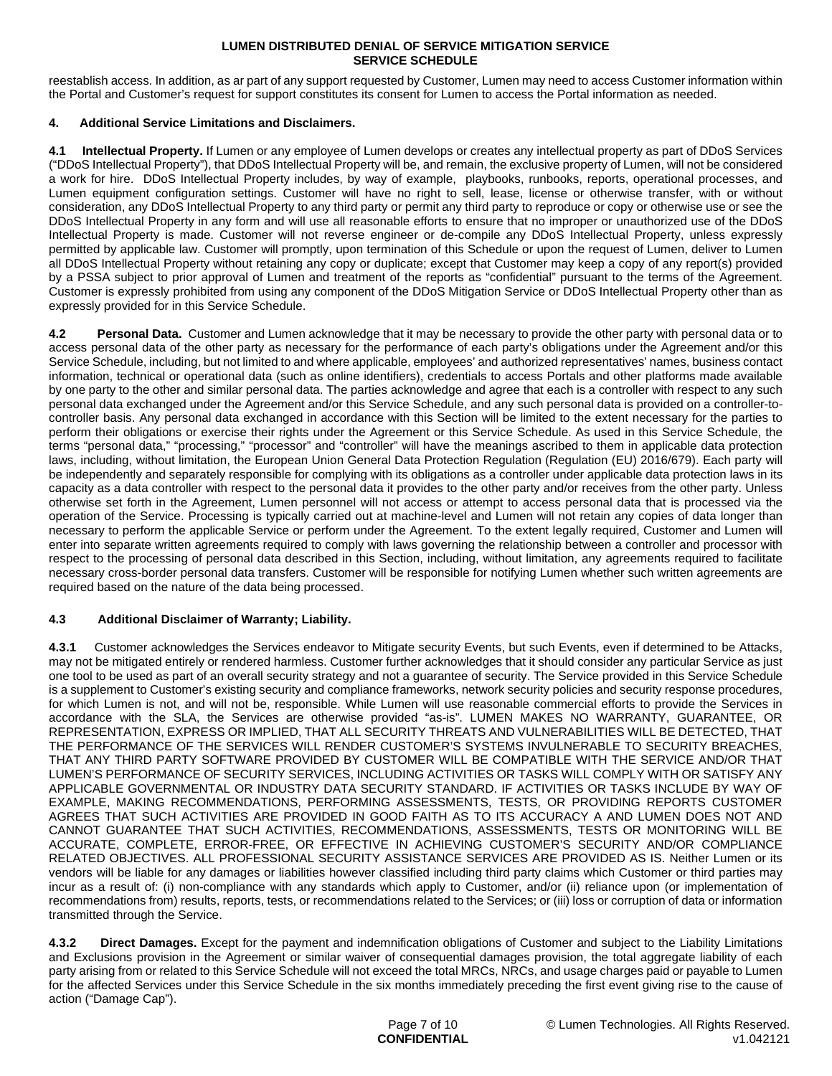reestablish access. In addition, as ar part of any support requested by Customer, Lumen may need to access Customer information within the Portal and Customer's request for support constitutes its consent for Lumen to access the Portal information as needed.

## **4. Additional Service Limitations and Disclaimers.**

**4.1 Intellectual Property.** If Lumen or any employee of Lumen develops or creates any intellectual property as part of DDoS Services ("DDoS Intellectual Property"), that DDoS Intellectual Property will be, and remain, the exclusive property of Lumen, will not be considered a work for hire. DDoS Intellectual Property includes, by way of example, playbooks, runbooks, reports, operational processes, and Lumen equipment configuration settings. Customer will have no right to sell, lease, license or otherwise transfer, with or without consideration, any DDoS Intellectual Property to any third party or permit any third party to reproduce or copy or otherwise use or see the DDoS Intellectual Property in any form and will use all reasonable efforts to ensure that no improper or unauthorized use of the DDoS Intellectual Property is made. Customer will not reverse engineer or de-compile any DDoS Intellectual Property, unless expressly permitted by applicable law. Customer will promptly, upon termination of this Schedule or upon the request of Lumen, deliver to Lumen all DDoS Intellectual Property without retaining any copy or duplicate; except that Customer may keep a copy of any report(s) provided by a PSSA subject to prior approval of Lumen and treatment of the reports as "confidential" pursuant to the terms of the Agreement. Customer is expressly prohibited from using any component of the DDoS Mitigation Service or DDoS Intellectual Property other than as expressly provided for in this Service Schedule.

**4.2 Personal Data.** Customer and Lumen acknowledge that it may be necessary to provide the other party with personal data or to access personal data of the other party as necessary for the performance of each party's obligations under the Agreement and/or this Service Schedule, including, but not limited to and where applicable, employees' and authorized representatives' names, business contact information, technical or operational data (such as online identifiers), credentials to access Portals and other platforms made available by one party to the other and similar personal data. The parties acknowledge and agree that each is a controller with respect to any such personal data exchanged under the Agreement and/or this Service Schedule, and any such personal data is provided on a controller-tocontroller basis. Any personal data exchanged in accordance with this Section will be limited to the extent necessary for the parties to perform their obligations or exercise their rights under the Agreement or this Service Schedule. As used in this Service Schedule, the terms "personal data," "processing," "processor" and "controller" will have the meanings ascribed to them in applicable data protection laws, including, without limitation, the European Union General Data Protection Regulation (Regulation (EU) 2016/679). Each party will be independently and separately responsible for complying with its obligations as a controller under applicable data protection laws in its capacity as a data controller with respect to the personal data it provides to the other party and/or receives from the other party. Unless otherwise set forth in the Agreement, Lumen personnel will not access or attempt to access personal data that is processed via the operation of the Service. Processing is typically carried out at machine-level and Lumen will not retain any copies of data longer than necessary to perform the applicable Service or perform under the Agreement. To the extent legally required, Customer and Lumen will enter into separate written agreements required to comply with laws governing the relationship between a controller and processor with respect to the processing of personal data described in this Section, including, without limitation, any agreements required to facilitate necessary cross-border personal data transfers. Customer will be responsible for notifying Lumen whether such written agreements are required based on the nature of the data being processed.

## **4.3 Additional Disclaimer of Warranty; Liability.**

**4.3.1** Customer acknowledges the Services endeavor to Mitigate security Events, but such Events, even if determined to be Attacks, may not be mitigated entirely or rendered harmless. Customer further acknowledges that it should consider any particular Service as just one tool to be used as part of an overall security strategy and not a guarantee of security. The Service provided in this Service Schedule is a supplement to Customer's existing security and compliance frameworks, network security policies and security response procedures, for which Lumen is not, and will not be, responsible. While Lumen will use reasonable commercial efforts to provide the Services in accordance with the SLA, the Services are otherwise provided "as-is". LUMEN MAKES NO WARRANTY, GUARANTEE, OR REPRESENTATION, EXPRESS OR IMPLIED, THAT ALL SECURITY THREATS AND VULNERABILITIES WILL BE DETECTED, THAT THE PERFORMANCE OF THE SERVICES WILL RENDER CUSTOMER'S SYSTEMS INVULNERABLE TO SECURITY BREACHES, THAT ANY THIRD PARTY SOFTWARE PROVIDED BY CUSTOMER WILL BE COMPATIBLE WITH THE SERVICE AND/OR THAT LUMEN'S PERFORMANCE OF SECURITY SERVICES, INCLUDING ACTIVITIES OR TASKS WILL COMPLY WITH OR SATISFY ANY APPLICABLE GOVERNMENTAL OR INDUSTRY DATA SECURITY STANDARD. IF ACTIVITIES OR TASKS INCLUDE BY WAY OF EXAMPLE, MAKING RECOMMENDATIONS, PERFORMING ASSESSMENTS, TESTS, OR PROVIDING REPORTS CUSTOMER AGREES THAT SUCH ACTIVITIES ARE PROVIDED IN GOOD FAITH AS TO ITS ACCURACY A AND LUMEN DOES NOT AND CANNOT GUARANTEE THAT SUCH ACTIVITIES, RECOMMENDATIONS, ASSESSMENTS, TESTS OR MONITORING WILL BE ACCURATE, COMPLETE, ERROR-FREE, OR EFFECTIVE IN ACHIEVING CUSTOMER'S SECURITY AND/OR COMPLIANCE RELATED OBJECTIVES. ALL PROFESSIONAL SECURITY ASSISTANCE SERVICES ARE PROVIDED AS IS. Neither Lumen or its vendors will be liable for any damages or liabilities however classified including third party claims which Customer or third parties may incur as a result of: (i) non-compliance with any standards which apply to Customer, and/or (ii) reliance upon (or implementation of recommendations from) results, reports, tests, or recommendations related to the Services; or (iii) loss or corruption of data or information transmitted through the Service.

**4.3.2 Direct Damages.** Except for the payment and indemnification obligations of Customer and subject to the Liability Limitations and Exclusions provision in the Agreement or similar waiver of consequential damages provision, the total aggregate liability of each party arising from or related to this Service Schedule will not exceed the total MRCs, NRCs, and usage charges paid or payable to Lumen for the affected Services under this Service Schedule in the six months immediately preceding the first event giving rise to the cause of action ("Damage Cap").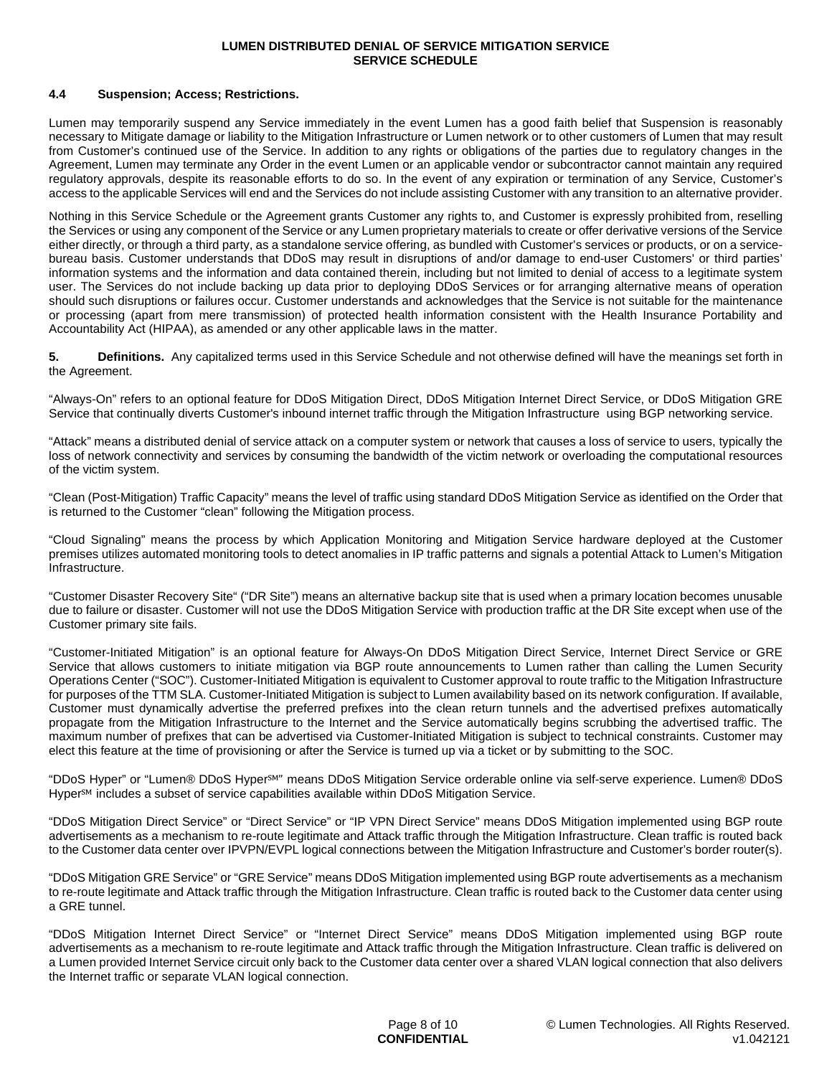#### **4.4 Suspension; Access; Restrictions.**

Lumen may temporarily suspend any Service immediately in the event Lumen has a good faith belief that Suspension is reasonably necessary to Mitigate damage or liability to the Mitigation Infrastructure or Lumen network or to other customers of Lumen that may result from Customer's continued use of the Service. In addition to any rights or obligations of the parties due to regulatory changes in the Agreement, Lumen may terminate any Order in the event Lumen or an applicable vendor or subcontractor cannot maintain any required regulatory approvals, despite its reasonable efforts to do so. In the event of any expiration or termination of any Service, Customer's access to the applicable Services will end and the Services do not include assisting Customer with any transition to an alternative provider.

Nothing in this Service Schedule or the Agreement grants Customer any rights to, and Customer is expressly prohibited from, reselling the Services or using any component of the Service or any Lumen proprietary materials to create or offer derivative versions of the Service either directly, or through a third party, as a standalone service offering, as bundled with Customer's services or products, or on a servicebureau basis. Customer understands that DDoS may result in disruptions of and/or damage to end-user Customers' or third parties' information systems and the information and data contained therein, including but not limited to denial of access to a legitimate system user. The Services do not include backing up data prior to deploying DDoS Services or for arranging alternative means of operation should such disruptions or failures occur. Customer understands and acknowledges that the Service is not suitable for the maintenance or processing (apart from mere transmission) of protected health information consistent with the Health Insurance Portability and Accountability Act (HIPAA), as amended or any other applicable laws in the matter.

**5. Definitions.** Any capitalized terms used in this Service Schedule and not otherwise defined will have the meanings set forth in the Agreement.

"Always-On" refers to an optional feature for DDoS Mitigation Direct, DDoS Mitigation Internet Direct Service, or DDoS Mitigation GRE Service that continually diverts Customer's inbound internet traffic through the Mitigation Infrastructure using BGP networking service.

"Attack" means a distributed denial of service attack on a computer system or network that causes a loss of service to users, typically the loss of network connectivity and services by consuming the bandwidth of the victim network or overloading the computational resources of the victim system.

"Clean (Post-Mitigation) Traffic Capacity" means the level of traffic using standard DDoS Mitigation Service as identified on the Order that is returned to the Customer "clean" following the Mitigation process.

"Cloud Signaling" means the process by which Application Monitoring and Mitigation Service hardware deployed at the Customer premises utilizes automated monitoring tools to detect anomalies in IP traffic patterns and signals a potential Attack to Lumen's Mitigation Infrastructure.

"Customer Disaster Recovery Site" ("DR Site") means an alternative backup site that is used when a primary location becomes unusable due to failure or disaster. Customer will not use the DDoS Mitigation Service with production traffic at the DR Site except when use of the Customer primary site fails.

"Customer-Initiated Mitigation" is an optional feature for Always-On DDoS Mitigation Direct Service, Internet Direct Service or GRE Service that allows customers to initiate mitigation via BGP route announcements to Lumen rather than calling the Lumen Security Operations Center ("SOC"). Customer-Initiated Mitigation is equivalent to Customer approval to route traffic to the Mitigation Infrastructure for purposes of the TTM SLA. Customer-Initiated Mitigation is subject to Lumen availability based on its network configuration. If available, Customer must dynamically advertise the preferred prefixes into the clean return tunnels and the advertised prefixes automatically propagate from the Mitigation Infrastructure to the Internet and the Service automatically begins scrubbing the advertised traffic. The maximum number of prefixes that can be advertised via Customer-Initiated Mitigation is subject to technical constraints. Customer may elect this feature at the time of provisioning or after the Service is turned up via a ticket or by submitting to the SOC.

"DDoS Hyper" or "Lumen® DDoS Hyper℠" means DDoS Mitigation Service orderable online via self-serve experience. Lumen® DDoS Hyper<sup>sM</sup> includes a subset of service capabilities available within DDoS Mitigation Service.

"DDoS Mitigation Direct Service" or "Direct Service" or "IP VPN Direct Service" means DDoS Mitigation implemented using BGP route advertisements as a mechanism to re-route legitimate and Attack traffic through the Mitigation Infrastructure. Clean traffic is routed back to the Customer data center over IPVPN/EVPL logical connections between the Mitigation Infrastructure and Customer's border router(s).

"DDoS Mitigation GRE Service" or "GRE Service" means DDoS Mitigation implemented using BGP route advertisements as a mechanism to re-route legitimate and Attack traffic through the Mitigation Infrastructure. Clean traffic is routed back to the Customer data center using a GRE tunnel.

"DDoS Mitigation Internet Direct Service" or "Internet Direct Service" means DDoS Mitigation implemented using BGP route advertisements as a mechanism to re-route legitimate and Attack traffic through the Mitigation Infrastructure. Clean traffic is delivered on a Lumen provided Internet Service circuit only back to the Customer data center over a shared VLAN logical connection that also delivers the Internet traffic or separate VLAN logical connection.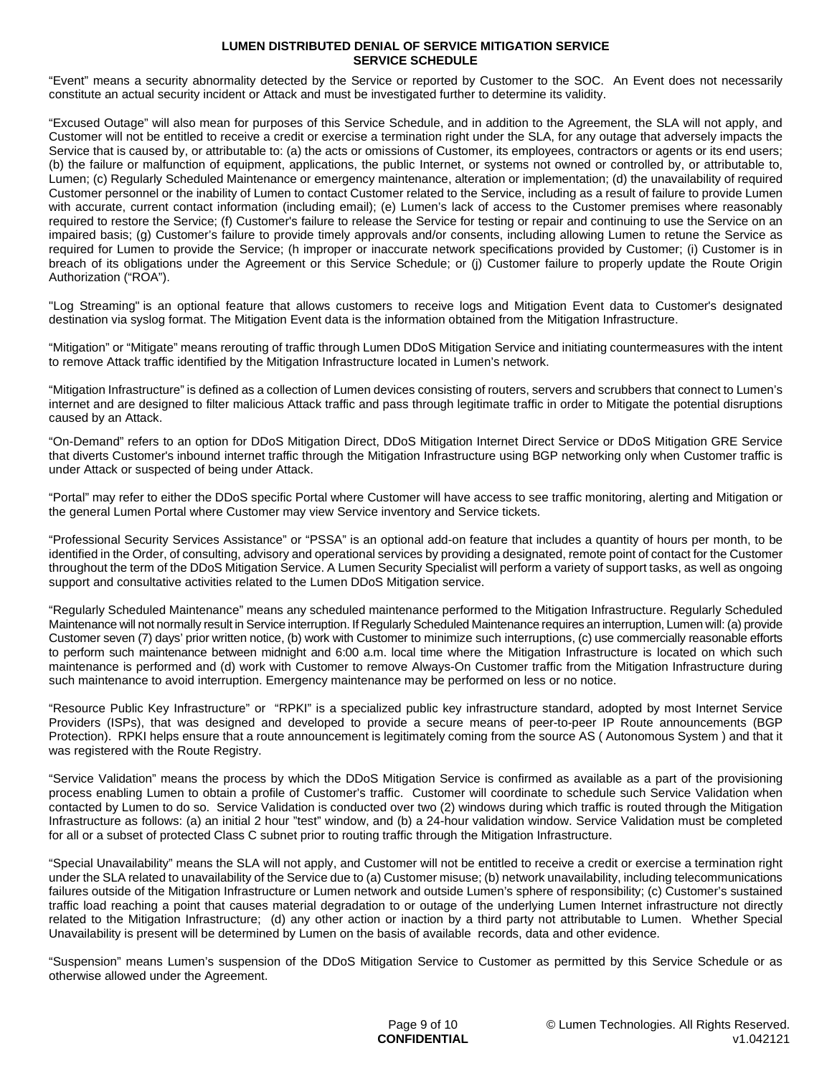"Event" means a security abnormality detected by the Service or reported by Customer to the SOC. An Event does not necessarily constitute an actual security incident or Attack and must be investigated further to determine its validity.

"Excused Outage" will also mean for purposes of this Service Schedule, and in addition to the Agreement, the SLA will not apply, and Customer will not be entitled to receive a credit or exercise a termination right under the SLA, for any outage that adversely impacts the Service that is caused by, or attributable to: (a) the acts or omissions of Customer, its employees, contractors or agents or its end users; (b) the failure or malfunction of equipment, applications, the public Internet, or systems not owned or controlled by, or attributable to, Lumen; (c) Regularly Scheduled Maintenance or emergency maintenance, alteration or implementation; (d) the unavailability of required Customer personnel or the inability of Lumen to contact Customer related to the Service, including as a result of failure to provide Lumen with accurate, current contact information (including email); (e) Lumen's lack of access to the Customer premises where reasonably required to restore the Service; (f) Customer's failure to release the Service for testing or repair and continuing to use the Service on an impaired basis; (g) Customer's failure to provide timely approvals and/or consents, including allowing Lumen to retune the Service as required for Lumen to provide the Service; (h improper or inaccurate network specifications provided by Customer; (i) Customer is in breach of its obligations under the Agreement or this Service Schedule; or (j) Customer failure to properly update the Route Origin Authorization ("ROA").

"Log Streaming" is an optional feature that allows customers to receive logs and Mitigation Event data to Customer's designated destination via syslog format. The Mitigation Event data is the information obtained from the Mitigation Infrastructure.

"Mitigation" or "Mitigate" means rerouting of traffic through Lumen DDoS Mitigation Service and initiating countermeasures with the intent to remove Attack traffic identified by the Mitigation Infrastructure located in Lumen's network.

"Mitigation Infrastructure" is defined as a collection of Lumen devices consisting of routers, servers and scrubbers that connect to Lumen's internet and are designed to filter malicious Attack traffic and pass through legitimate traffic in order to Mitigate the potential disruptions caused by an Attack.

"On-Demand" refers to an option for DDoS Mitigation Direct, DDoS Mitigation Internet Direct Service or DDoS Mitigation GRE Service that diverts Customer's inbound internet traffic through the Mitigation Infrastructure using BGP networking only when Customer traffic is under Attack or suspected of being under Attack.

"Portal" may refer to either the DDoS specific Portal where Customer will have access to see traffic monitoring, alerting and Mitigation or the general Lumen Portal where Customer may view Service inventory and Service tickets.

"Professional Security Services Assistance" or "PSSA" is an optional add-on feature that includes a quantity of hours per month, to be identified in the Order, of consulting, advisory and operational services by providing a designated, remote point of contact for the Customer throughout the term of the DDoS Mitigation Service. A Lumen Security Specialist will perform a variety of support tasks, as well as ongoing support and consultative activities related to the Lumen DDoS Mitigation service.

"Regularly Scheduled Maintenance" means any scheduled maintenance performed to the Mitigation Infrastructure. Regularly Scheduled Maintenance will not normally result in Service interruption. If Regularly Scheduled Maintenance requires an interruption, Lumen will: (a) provide Customer seven (7) days' prior written notice, (b) work with Customer to minimize such interruptions, (c) use commercially reasonable efforts to perform such maintenance between midnight and 6:00 a.m. local time where the Mitigation Infrastructure is located on which such maintenance is performed and (d) work with Customer to remove Always-On Customer traffic from the Mitigation Infrastructure during such maintenance to avoid interruption. Emergency maintenance may be performed on less or no notice.

"Resource Public Key Infrastructure" or "RPKI" is a specialized public key infrastructure standard, adopted by most Internet Service Providers (ISPs), that was designed and developed to provide a secure means of peer-to-peer IP Route announcements (BGP Protection). RPKI helps ensure that a route announcement is legitimately coming from the source AS ( Autonomous System ) and that it was registered with the Route Registry.

"Service Validation" means the process by which the DDoS Mitigation Service is confirmed as available as a part of the provisioning process enabling Lumen to obtain a profile of Customer's traffic. Customer will coordinate to schedule such Service Validation when contacted by Lumen to do so. Service Validation is conducted over two (2) windows during which traffic is routed through the Mitigation Infrastructure as follows: (a) an initial 2 hour "test" window, and (b) a 24-hour validation window. Service Validation must be completed for all or a subset of protected Class C subnet prior to routing traffic through the Mitigation Infrastructure.

"Special Unavailability" means the SLA will not apply, and Customer will not be entitled to receive a credit or exercise a termination right under the SLA related to unavailability of the Service due to (a) Customer misuse; (b) network unavailability, including telecommunications failures outside of the Mitigation Infrastructure or Lumen network and outside Lumen's sphere of responsibility; (c) Customer's sustained traffic load reaching a point that causes material degradation to or outage of the underlying Lumen Internet infrastructure not directly related to the Mitigation Infrastructure; (d) any other action or inaction by a third party not attributable to Lumen. Whether Special Unavailability is present will be determined by Lumen on the basis of available records, data and other evidence.

"Suspension" means Lumen's suspension of the DDoS Mitigation Service to Customer as permitted by this Service Schedule or as otherwise allowed under the Agreement.